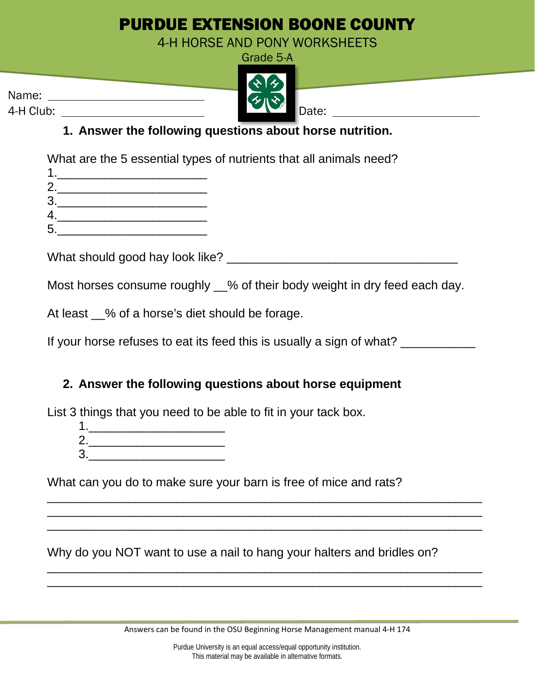## PURDUE EXTENSION BOONE COUNTY

4-H HORSE AND PONY WORKSHEETS

|           | Grade 5-A |
|-----------|-----------|
|           | 22        |
| Name:     | そいや       |
| 4-H Club: | Date:     |

## **1. Answer the following questions about horse nutrition.**

What are the 5 essential types of nutrients that all animals need?

| r<br>◢ |  |  |  |
|--------|--|--|--|

- $3.$
- 4.\_\_\_\_\_\_\_\_\_\_\_\_\_\_\_\_\_\_\_\_\_\_ 5.\_\_\_\_\_\_\_\_\_\_\_\_\_\_\_\_\_\_\_\_\_\_

What should good hay look like? \_\_\_\_\_\_\_\_\_\_\_\_\_\_\_\_\_\_\_\_\_\_\_\_\_\_\_\_\_\_\_\_\_\_

Most horses consume roughly  $\_\%$  of their body weight in dry feed each day.

At least \_\_% of a horse's diet should be forage.

If your horse refuses to eat its feed this is usually a sign of what?

## **2. Answer the following questions about horse equipment**

List 3 things that you need to be able to fit in your tack box.

- 1.\_\_\_\_\_\_\_\_\_\_\_\_\_\_\_\_\_\_\_\_
- 2.\_\_\_\_\_\_\_\_\_\_\_\_\_\_\_\_\_\_\_\_  $3.$

What can you do to make sure your barn is free of mice and rats?

Why do you NOT want to use a nail to hang your halters and bridles on?

\_\_\_\_\_\_\_\_\_\_\_\_\_\_\_\_\_\_\_\_\_\_\_\_\_\_\_\_\_\_\_\_\_\_\_\_\_\_\_\_\_\_\_\_\_\_\_\_\_\_\_\_\_\_\_\_\_\_\_\_\_\_\_\_ \_\_\_\_\_\_\_\_\_\_\_\_\_\_\_\_\_\_\_\_\_\_\_\_\_\_\_\_\_\_\_\_\_\_\_\_\_\_\_\_\_\_\_\_\_\_\_\_\_\_\_\_\_\_\_\_\_\_\_\_\_\_\_\_ \_\_\_\_\_\_\_\_\_\_\_\_\_\_\_\_\_\_\_\_\_\_\_\_\_\_\_\_\_\_\_\_\_\_\_\_\_\_\_\_\_\_\_\_\_\_\_\_\_\_\_\_\_\_\_\_\_\_\_\_\_\_\_\_

\_\_\_\_\_\_\_\_\_\_\_\_\_\_\_\_\_\_\_\_\_\_\_\_\_\_\_\_\_\_\_\_\_\_\_\_\_\_\_\_\_\_\_\_\_\_\_\_\_\_\_\_\_\_\_\_\_\_\_\_\_\_\_\_ \_\_\_\_\_\_\_\_\_\_\_\_\_\_\_\_\_\_\_\_\_\_\_\_\_\_\_\_\_\_\_\_\_\_\_\_\_\_\_\_\_\_\_\_\_\_\_\_\_\_\_\_\_\_\_\_\_\_\_\_\_\_\_\_